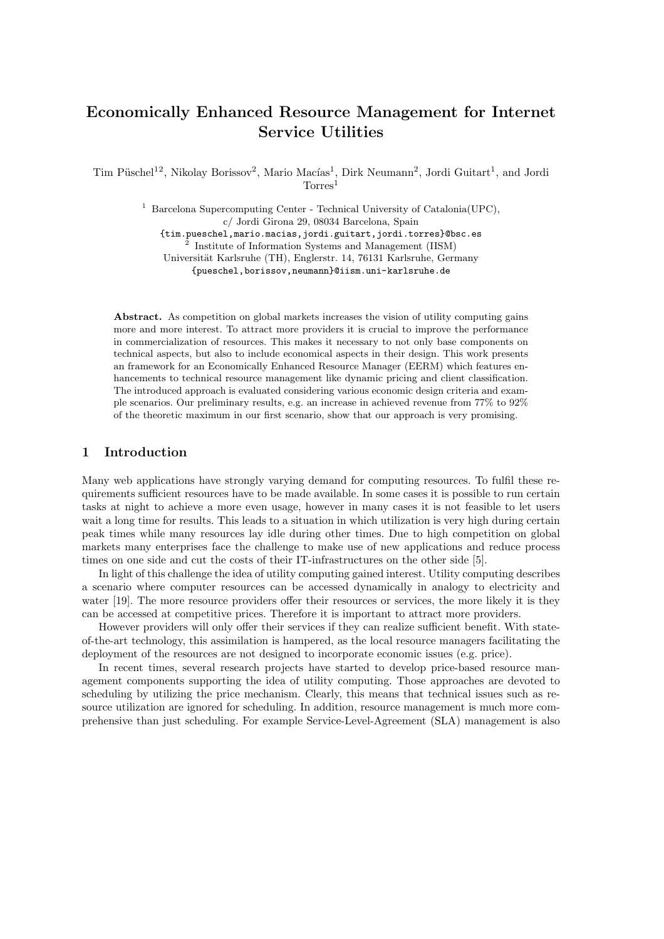# Economically Enhanced Resource Management for Internet Service Utilities

Tim Püschel<sup>12</sup>, Nikolay Borissov<sup>2</sup>, Mario Macías<sup>1</sup>, Dirk Neumann<sup>2</sup>, Jordi Guitart<sup>1</sup>, and Jordi Torres<sup>1</sup>

> <sup>1</sup> Barcelona Supercomputing Center - Technical University of Catalonia(UPC), c/ Jordi Girona 29, 08034 Barcelona, Spain {tim.pueschel,mario.macias,jordi.guitart,jordi.torres}@bsc.es 2 Institute of Information Systems and Management (IISM)

Universität Karlsruhe (TH), Englerstr. 14, 76131 Karlsruhe, Germany {pueschel,borissov,neumann}@iism.uni-karlsruhe.de

Abstract. As competition on global markets increases the vision of utility computing gains more and more interest. To attract more providers it is crucial to improve the performance in commercialization of resources. This makes it necessary to not only base components on technical aspects, but also to include economical aspects in their design. This work presents an framework for an Economically Enhanced Resource Manager (EERM) which features enhancements to technical resource management like dynamic pricing and client classification. The introduced approach is evaluated considering various economic design criteria and example scenarios. Our preliminary results, e.g. an increase in achieved revenue from 77% to 92% of the theoretic maximum in our first scenario, show that our approach is very promising.

## 1 Introduction

Many web applications have strongly varying demand for computing resources. To fulfil these requirements sufficient resources have to be made available. In some cases it is possible to run certain tasks at night to achieve a more even usage, however in many cases it is not feasible to let users wait a long time for results. This leads to a situation in which utilization is very high during certain peak times while many resources lay idle during other times. Due to high competition on global markets many enterprises face the challenge to make use of new applications and reduce process times on one side and cut the costs of their IT-infrastructures on the other side [5].

In light of this challenge the idea of utility computing gained interest. Utility computing describes a scenario where computer resources can be accessed dynamically in analogy to electricity and water [19]. The more resource providers offer their resources or services, the more likely it is they can be accessed at competitive prices. Therefore it is important to attract more providers.

However providers will only offer their services if they can realize sufficient benefit. With stateof-the-art technology, this assimilation is hampered, as the local resource managers facilitating the deployment of the resources are not designed to incorporate economic issues (e.g. price).

In recent times, several research projects have started to develop price-based resource management components supporting the idea of utility computing. Those approaches are devoted to scheduling by utilizing the price mechanism. Clearly, this means that technical issues such as resource utilization are ignored for scheduling. In addition, resource management is much more comprehensive than just scheduling. For example Service-Level-Agreement (SLA) management is also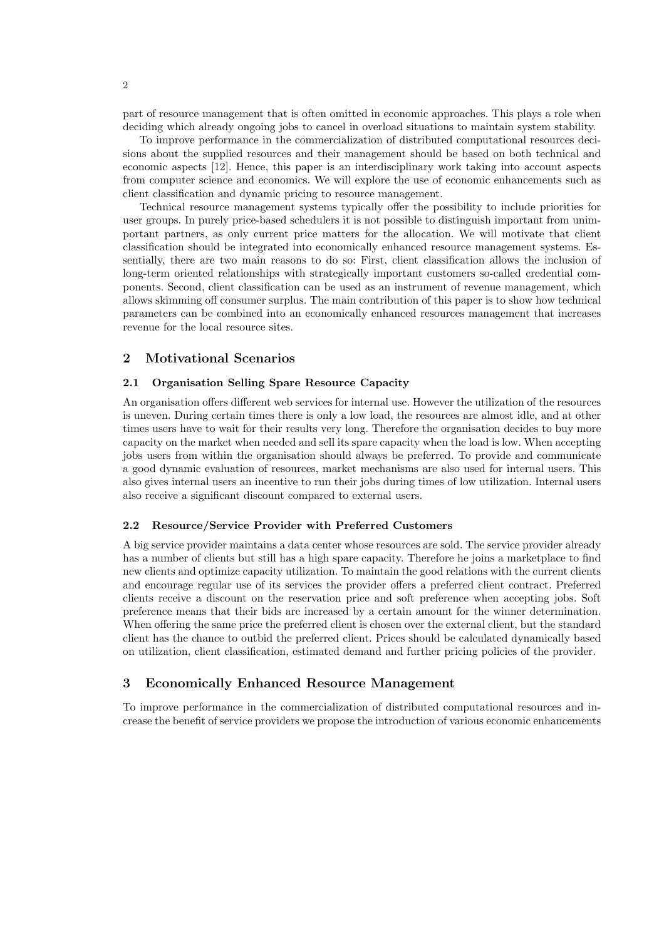part of resource management that is often omitted in economic approaches. This plays a role when deciding which already ongoing jobs to cancel in overload situations to maintain system stability.

To improve performance in the commercialization of distributed computational resources decisions about the supplied resources and their management should be based on both technical and economic aspects [12]. Hence, this paper is an interdisciplinary work taking into account aspects from computer science and economics. We will explore the use of economic enhancements such as client classification and dynamic pricing to resource management.

Technical resource management systems typically offer the possibility to include priorities for user groups. In purely price-based schedulers it is not possible to distinguish important from unimportant partners, as only current price matters for the allocation. We will motivate that client classification should be integrated into economically enhanced resource management systems. Essentially, there are two main reasons to do so: First, client classification allows the inclusion of long-term oriented relationships with strategically important customers so-called credential components. Second, client classification can be used as an instrument of revenue management, which allows skimming off consumer surplus. The main contribution of this paper is to show how technical parameters can be combined into an economically enhanced resources management that increases revenue for the local resource sites.

# 2 Motivational Scenarios

### 2.1 Organisation Selling Spare Resource Capacity

An organisation offers different web services for internal use. However the utilization of the resources is uneven. During certain times there is only a low load, the resources are almost idle, and at other times users have to wait for their results very long. Therefore the organisation decides to buy more capacity on the market when needed and sell its spare capacity when the load is low. When accepting jobs users from within the organisation should always be preferred. To provide and communicate a good dynamic evaluation of resources, market mechanisms are also used for internal users. This also gives internal users an incentive to run their jobs during times of low utilization. Internal users also receive a significant discount compared to external users.

### 2.2 Resource/Service Provider with Preferred Customers

A big service provider maintains a data center whose resources are sold. The service provider already has a number of clients but still has a high spare capacity. Therefore he joins a marketplace to find new clients and optimize capacity utilization. To maintain the good relations with the current clients and encourage regular use of its services the provider offers a preferred client contract. Preferred clients receive a discount on the reservation price and soft preference when accepting jobs. Soft preference means that their bids are increased by a certain amount for the winner determination. When offering the same price the preferred client is chosen over the external client, but the standard client has the chance to outbid the preferred client. Prices should be calculated dynamically based on utilization, client classification, estimated demand and further pricing policies of the provider.

### 3 Economically Enhanced Resource Management

To improve performance in the commercialization of distributed computational resources and increase the benefit of service providers we propose the introduction of various economic enhancements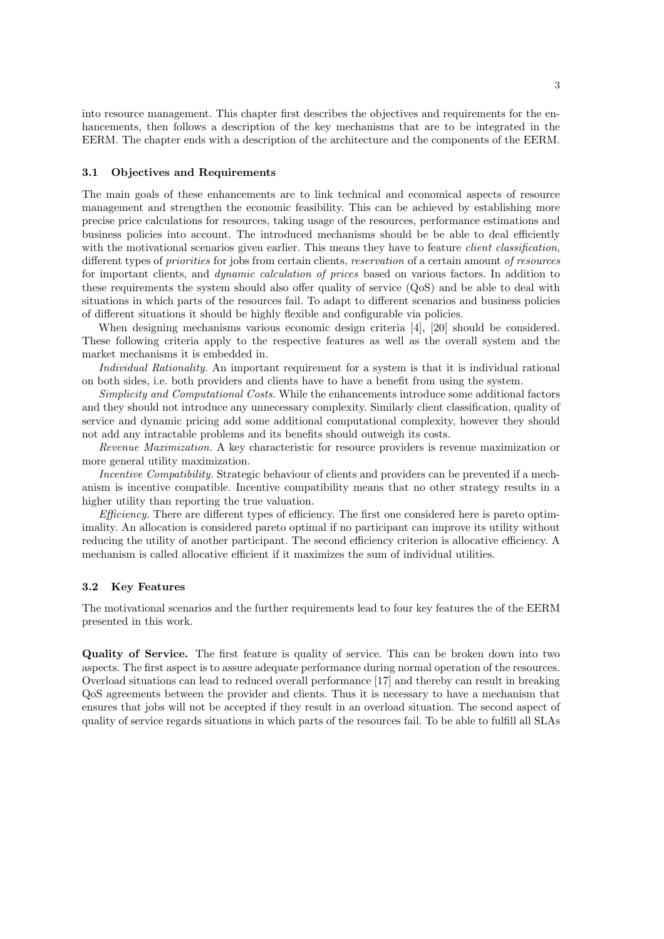into resource management. This chapter first describes the objectives and requirements for the enhancements, then follows a description of the key mechanisms that are to be integrated in the EERM. The chapter ends with a description of the architecture and the components of the EERM.

### 3.1 Objectives and Requirements

The main goals of these enhancements are to link technical and economical aspects of resource management and strengthen the economic feasibility. This can be achieved by establishing more precise price calculations for resources, taking usage of the resources, performance estimations and business policies into account. The introduced mechanisms should be be able to deal efficiently with the motivational scenarios given earlier. This means they have to feature *client classification*, different types of *priorities* for jobs from certain clients, *reservation* of a certain amount of resources for important clients, and *dynamic calculation of prices* based on various factors. In addition to these requirements the system should also offer quality of service (QoS) and be able to deal with situations in which parts of the resources fail. To adapt to different scenarios and business policies of different situations it should be highly flexible and configurable via policies.

When designing mechanisms various economic design criteria [4], [20] should be considered. These following criteria apply to the respective features as well as the overall system and the market mechanisms it is embedded in.

Individual Rationality. An important requirement for a system is that it is individual rational on both sides, i.e. both providers and clients have to have a benefit from using the system.

Simplicity and Computational Costs. While the enhancements introduce some additional factors and they should not introduce any unnecessary complexity. Similarly client classification, quality of service and dynamic pricing add some additional computational complexity, however they should not add any intractable problems and its benefits should outweigh its costs.

Revenue Maximization. A key characteristic for resource providers is revenue maximization or more general utility maximization.

Incentive Compatibility. Strategic behaviour of clients and providers can be prevented if a mechanism is incentive compatible. Incentive compatibility means that no other strategy results in a higher utility than reporting the true valuation.

 $Efficiency$ . There are different types of efficiency. The first one considered here is pareto optimimality. An allocation is considered pareto optimal if no participant can improve its utility without reducing the utility of another participant. The second efficiency criterion is allocative efficiency. A mechanism is called allocative efficient if it maximizes the sum of individual utilities.

#### 3.2 Key Features

The motivational scenarios and the further requirements lead to four key features the of the EERM presented in this work.

Quality of Service. The first feature is quality of service. This can be broken down into two aspects. The first aspect is to assure adequate performance during normal operation of the resources. Overload situations can lead to reduced overall performance [17] and thereby can result in breaking QoS agreements between the provider and clients. Thus it is necessary to have a mechanism that ensures that jobs will not be accepted if they result in an overload situation. The second aspect of quality of service regards situations in which parts of the resources fail. To be able to fulfill all SLAs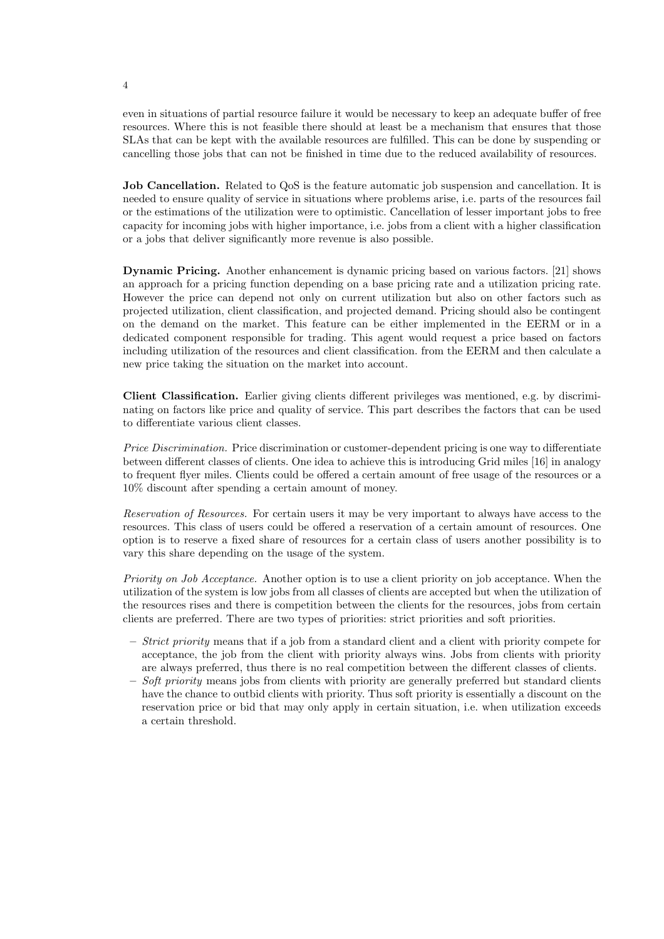even in situations of partial resource failure it would be necessary to keep an adequate buffer of free resources. Where this is not feasible there should at least be a mechanism that ensures that those SLAs that can be kept with the available resources are fulfilled. This can be done by suspending or cancelling those jobs that can not be finished in time due to the reduced availability of resources.

Job Cancellation. Related to QoS is the feature automatic job suspension and cancellation. It is needed to ensure quality of service in situations where problems arise, i.e. parts of the resources fail or the estimations of the utilization were to optimistic. Cancellation of lesser important jobs to free capacity for incoming jobs with higher importance, i.e. jobs from a client with a higher classification or a jobs that deliver significantly more revenue is also possible.

Dynamic Pricing. Another enhancement is dynamic pricing based on various factors. [21] shows an approach for a pricing function depending on a base pricing rate and a utilization pricing rate. However the price can depend not only on current utilization but also on other factors such as projected utilization, client classification, and projected demand. Pricing should also be contingent on the demand on the market. This feature can be either implemented in the EERM or in a dedicated component responsible for trading. This agent would request a price based on factors including utilization of the resources and client classification. from the EERM and then calculate a new price taking the situation on the market into account.

Client Classification. Earlier giving clients different privileges was mentioned, e.g. by discriminating on factors like price and quality of service. This part describes the factors that can be used to differentiate various client classes.

Price Discrimination. Price discrimination or customer-dependent pricing is one way to differentiate between different classes of clients. One idea to achieve this is introducing Grid miles [16] in analogy to frequent flyer miles. Clients could be offered a certain amount of free usage of the resources or a 10% discount after spending a certain amount of money.

Reservation of Resources. For certain users it may be very important to always have access to the resources. This class of users could be offered a reservation of a certain amount of resources. One option is to reserve a fixed share of resources for a certain class of users another possibility is to vary this share depending on the usage of the system.

Priority on Job Acceptance. Another option is to use a client priority on job acceptance. When the utilization of the system is low jobs from all classes of clients are accepted but when the utilization of the resources rises and there is competition between the clients for the resources, jobs from certain clients are preferred. There are two types of priorities: strict priorities and soft priorities.

- $-$  *Strict priority* means that if a job from a standard client and a client with priority compete for acceptance, the job from the client with priority always wins. Jobs from clients with priority are always preferred, thus there is no real competition between the different classes of clients.
- $-$  Soft priority means jobs from clients with priority are generally preferred but standard clients have the chance to outbid clients with priority. Thus soft priority is essentially a discount on the reservation price or bid that may only apply in certain situation, i.e. when utilization exceeds a certain threshold.

4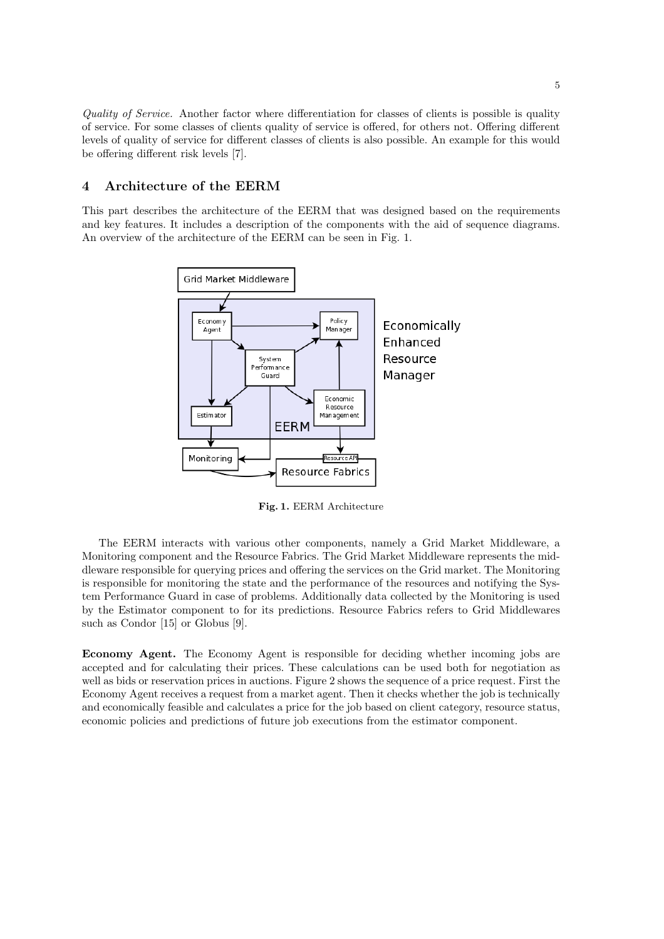Quality of Service. Another factor where differentiation for classes of clients is possible is quality of service. For some classes of clients quality of service is offered, for others not. Offering different levels of quality of service for different classes of clients is also possible. An example for this would be offering different risk levels [7].

# 4 Architecture of the EERM

This part describes the architecture of the EERM that was designed based on the requirements and key features. It includes a description of the components with the aid of sequence diagrams. An overview of the architecture of the EERM can be seen in Fig. 1.



Fig. 1. EERM Architecture

The EERM interacts with various other components, namely a Grid Market Middleware, a Monitoring component and the Resource Fabrics. The Grid Market Middleware represents the middleware responsible for querying prices and offering the services on the Grid market. The Monitoring is responsible for monitoring the state and the performance of the resources and notifying the System Performance Guard in case of problems. Additionally data collected by the Monitoring is used by the Estimator component to for its predictions. Resource Fabrics refers to Grid Middlewares such as Condor [15] or Globus [9].

Economy Agent. The Economy Agent is responsible for deciding whether incoming jobs are accepted and for calculating their prices. These calculations can be used both for negotiation as well as bids or reservation prices in auctions. Figure 2 shows the sequence of a price request. First the Economy Agent receives a request from a market agent. Then it checks whether the job is technically and economically feasible and calculates a price for the job based on client category, resource status, economic policies and predictions of future job executions from the estimator component.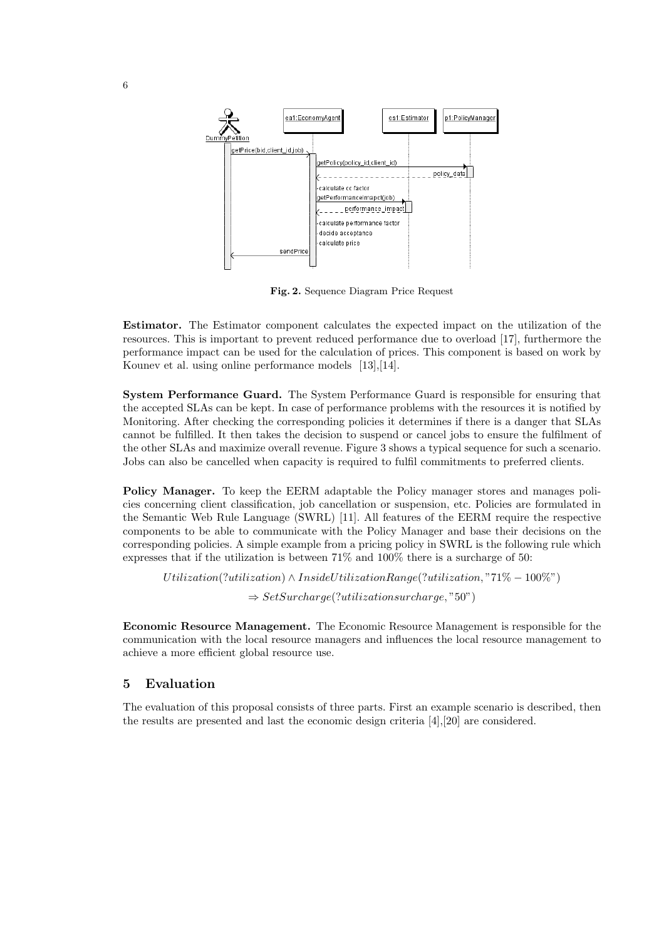

Fig. 2. Sequence Diagram Price Request

Estimator. The Estimator component calculates the expected impact on the utilization of the resources. This is important to prevent reduced performance due to overload [17], furthermore the performance impact can be used for the calculation of prices. This component is based on work by Kounev et al. using online performance models [13],[14].

System Performance Guard. The System Performance Guard is responsible for ensuring that the accepted SLAs can be kept. In case of performance problems with the resources it is notified by Monitoring. After checking the corresponding policies it determines if there is a danger that SLAs cannot be fulfilled. It then takes the decision to suspend or cancel jobs to ensure the fulfilment of the other SLAs and maximize overall revenue. Figure 3 shows a typical sequence for such a scenario. Jobs can also be cancelled when capacity is required to fulfil commitments to preferred clients.

Policy Manager. To keep the EERM adaptable the Policy manager stores and manages policies concerning client classification, job cancellation or suspension, etc. Policies are formulated in the Semantic Web Rule Language (SWRL) [11]. All features of the EERM require the respective components to be able to communicate with the Policy Manager and base their decisions on the corresponding policies. A simple example from a pricing policy in SWRL is the following rule which expresses that if the utilization is between 71% and 100% there is a surcharge of 50:

Utilization(?utilization) ∧ InsideUtilizationRange(?utilization, "71%  $-$  100%")  $\Rightarrow SetSurcharge(?utilization surface, "50")$ 

Economic Resource Management. The Economic Resource Management is responsible for the communication with the local resource managers and influences the local resource management to achieve a more efficient global resource use.

# 5 Evaluation

The evaluation of this proposal consists of three parts. First an example scenario is described, then the results are presented and last the economic design criteria [4],[20] are considered.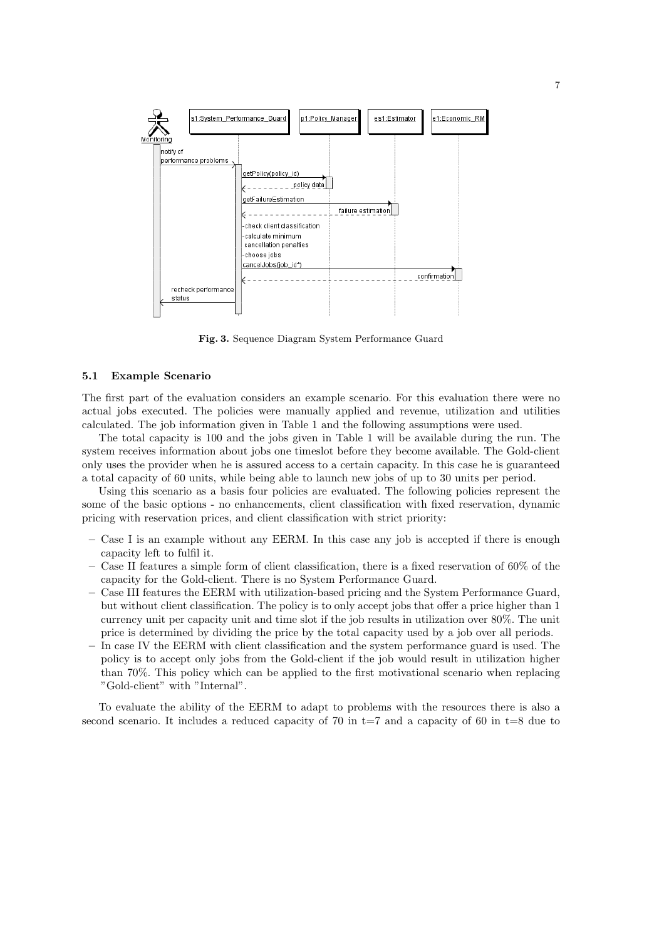

Fig. 3. Sequence Diagram System Performance Guard

#### 5.1 Example Scenario

The first part of the evaluation considers an example scenario. For this evaluation there were no actual jobs executed. The policies were manually applied and revenue, utilization and utilities calculated. The job information given in Table 1 and the following assumptions were used.

The total capacity is 100 and the jobs given in Table 1 will be available during the run. The system receives information about jobs one timeslot before they become available. The Gold-client only uses the provider when he is assured access to a certain capacity. In this case he is guaranteed a total capacity of 60 units, while being able to launch new jobs of up to 30 units per period.

Using this scenario as a basis four policies are evaluated. The following policies represent the some of the basic options - no enhancements, client classification with fixed reservation, dynamic pricing with reservation prices, and client classification with strict priority:

- Case I is an example without any EERM. In this case any job is accepted if there is enough capacity left to fulfil it.
- Case II features a simple form of client classification, there is a fixed reservation of 60% of the capacity for the Gold-client. There is no System Performance Guard.
- Case III features the EERM with utilization-based pricing and the System Performance Guard, but without client classification. The policy is to only accept jobs that offer a price higher than 1 currency unit per capacity unit and time slot if the job results in utilization over 80%. The unit price is determined by dividing the price by the total capacity used by a job over all periods.
- In case IV the EERM with client classification and the system performance guard is used. The policy is to accept only jobs from the Gold-client if the job would result in utilization higher than 70%. This policy which can be applied to the first motivational scenario when replacing "Gold-client" with "Internal".

To evaluate the ability of the EERM to adapt to problems with the resources there is also a second scenario. It includes a reduced capacity of 70 in  $t=7$  and a capacity of 60 in  $t=8$  due to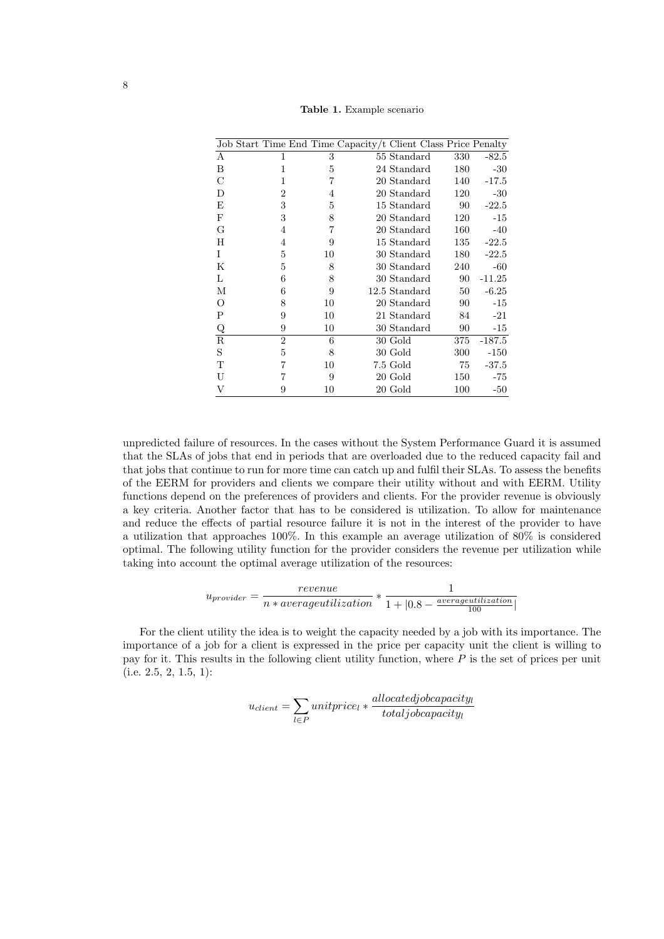| <b>Table 1.</b> Example scenario |  |
|----------------------------------|--|
|----------------------------------|--|

|             |                |    | Job Start Time End Time Capacity/t Client Class Price Penalty |               |     |          |
|-------------|----------------|----|---------------------------------------------------------------|---------------|-----|----------|
| A           | 1              | 3  |                                                               | 55 Standard   | 330 | $-82.5$  |
| B           | 1              | 5  |                                                               | 24 Standard   | 180 | $-30$    |
| $\rm C$     | 1              | 7  |                                                               | 20 Standard   | 140 | $-17.5$  |
| D           | $\overline{2}$ | 4  |                                                               | 20 Standard   | 120 | $-30$    |
| E           | 3              | 5  |                                                               | 15 Standard   | 90  | $-22.5$  |
| F           | 3              | 8  |                                                               | 20 Standard   | 120 | $-15$    |
| G           | 4              | 7  |                                                               | 20 Standard   | 160 | $-40$    |
| Η           | 4              | 9  |                                                               | 15 Standard   | 135 | $-22.5$  |
| L           | 5              | 10 |                                                               | 30 Standard   | 180 | $-22.5$  |
| Κ           | 5              | 8  |                                                               | 30 Standard   | 240 | $-60$    |
| L           | 6              | 8  |                                                               | 30 Standard   | 90  | $-11.25$ |
| М           | 6              | 9  |                                                               | 12.5 Standard | 50  | $-6.25$  |
| O           | 8              | 10 |                                                               | 20 Standard   | 90  | $-15$    |
| Ρ           | 9              | 10 |                                                               | 21 Standard   | 84  | $-21$    |
| Q           | 9              | 10 |                                                               | 30 Standard   | 90  | $-15$    |
| $\mathbf R$ | $\overline{2}$ | 6  |                                                               | 30 Gold       | 375 | $-187.5$ |
| S           | 5              | 8  |                                                               | 30 Gold       | 300 | $-150$   |
| T           | 7              | 10 |                                                               | $7.5$ Gold    | 75  | $-37.5$  |
| U           | 7              | 9  |                                                               | 20 Gold       | 150 | $-75$    |
| V           | 9              | 10 |                                                               | 20 Gold       | 100 | $-50$    |

unpredicted failure of resources. In the cases without the System Performance Guard it is assumed that the SLAs of jobs that end in periods that are overloaded due to the reduced capacity fail and that jobs that continue to run for more time can catch up and fulfil their SLAs. To assess the benefits of the EERM for providers and clients we compare their utility without and with EERM. Utility functions depend on the preferences of providers and clients. For the provider revenue is obviously a key criteria. Another factor that has to be considered is utilization. To allow for maintenance and reduce the effects of partial resource failure it is not in the interest of the provider to have a utilization that approaches 100%. In this example an average utilization of 80% is considered optimal. The following utility function for the provider considers the revenue per utilization while taking into account the optimal average utilization of the resources:

$$
u_{provider} = \frac{revenue}{n * averageutilization} * \frac{1}{1 + |0.8 - \frac{averageutilization}{100}|}
$$

For the client utility the idea is to weight the capacity needed by a job with its importance. The importance of a job for a client is expressed in the price per capacity unit the client is willing to pay for it. This results in the following client utility function, where  $P$  is the set of prices per unit (i.e. 2.5, 2, 1.5, 1):

$$
u_{client} = \sum_{l \in P} unitr price_l * \frac{allocatedjobcapacity_l}{totaljobcapacity_l}
$$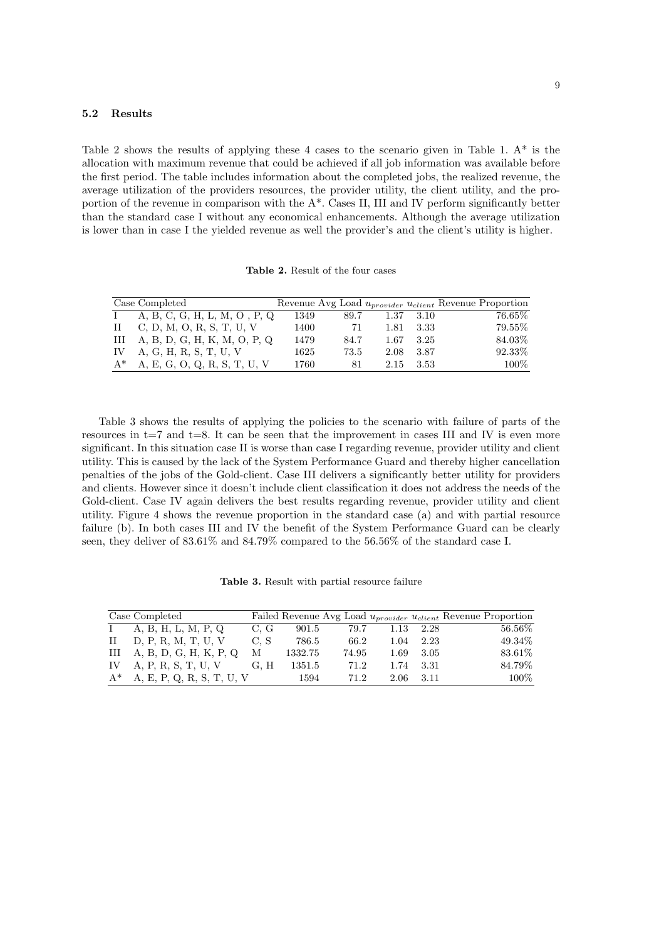### 5.2 Results

Table 2 shows the results of applying these 4 cases to the scenario given in Table 1.  $A^*$  is the allocation with maximum revenue that could be achieved if all job information was available before the first period. The table includes information about the completed jobs, the realized revenue, the average utilization of the providers resources, the provider utility, the client utility, and the proportion of the revenue in comparison with the A\*. Cases II, III and IV perform significantly better than the standard case I without any economical enhancements. Although the average utilization is lower than in case I the yielded revenue as well the provider's and the client's utility is higher.

Table 2. Result of the four cases

|    | Case Completed                     |      |      |      |                   | Revenue Avg Load $u_{provider}$ $u_{client}$ Revenue Proportion |
|----|------------------------------------|------|------|------|-------------------|-----------------------------------------------------------------|
|    | I A, B, C, G, H, L, M, O, P, Q     | 1349 | 89.7 |      | $1.37 \quad 3.10$ | 76.65%                                                          |
| H  | C, D, M, O, R, S, T, U, V          | 1400 | 71   | 1.81 | -3.33             | $79.55\%$                                                       |
|    | $III$ A, B, D, G, H, K, M, O, P, Q | 1479 | 84.7 |      | $1.67 \quad 3.25$ | 84.03%                                                          |
| IV | A, G, H, R, S, T, U, V             | 1625 | 73.5 |      | 2.08 3.87         | 92.33%                                                          |
|    | $A^*$ A, E, G, O, Q, R, S, T, U, V | 1760 | 81   |      | 2.15 3.53         | $100\%$                                                         |

Table 3 shows the results of applying the policies to the scenario with failure of parts of the resources in  $t=7$  and  $t=8$ . It can be seen that the improvement in cases III and IV is even more significant. In this situation case II is worse than case I regarding revenue, provider utility and client utility. This is caused by the lack of the System Performance Guard and thereby higher cancellation penalties of the jobs of the Gold-client. Case III delivers a significantly better utility for providers and clients. However since it doesn't include client classification it does not address the needs of the Gold-client. Case IV again delivers the best results regarding revenue, provider utility and client utility. Figure 4 shows the revenue proportion in the standard case (a) and with partial resource failure (b). In both cases III and IV the benefit of the System Performance Guard can be clearly seen, they deliver of 83.61% and 84.79% compared to the 56.56% of the standard case I.

Table 3. Result with partial resource failure

| Case Completed                  |      |         |       |      |                   | Failed Revenue Avg Load $u_{provider}$ $u_{client}$ Revenue Proportion |
|---------------------------------|------|---------|-------|------|-------------------|------------------------------------------------------------------------|
| $I$ A, B, H, L, M, P, Q         | C. G | 901.5   | 79.7  |      | $1.13 \quad 2.28$ | 56.56%                                                                 |
| II D, P, R, M, T, U, V          | C.S  | 786.5   | 66.2  |      | $1.04$ 2.23       | 49.34%                                                                 |
| III A, B, D, G, H, K, P, Q      | M    | 1332.75 | 74.95 | 1.69 | -3.05             | 83.61\%                                                                |
| $IV$ A, P, R, S, T, U, V        | G.H  | 1351.5  | 71.2  | 1.74 | - 3.31            | 84.79%                                                                 |
| $A^*$ A, E, P, Q, R, S, T, U, V |      | 1594    | 71.2  |      | $2.06 - 3.11$     | 100%                                                                   |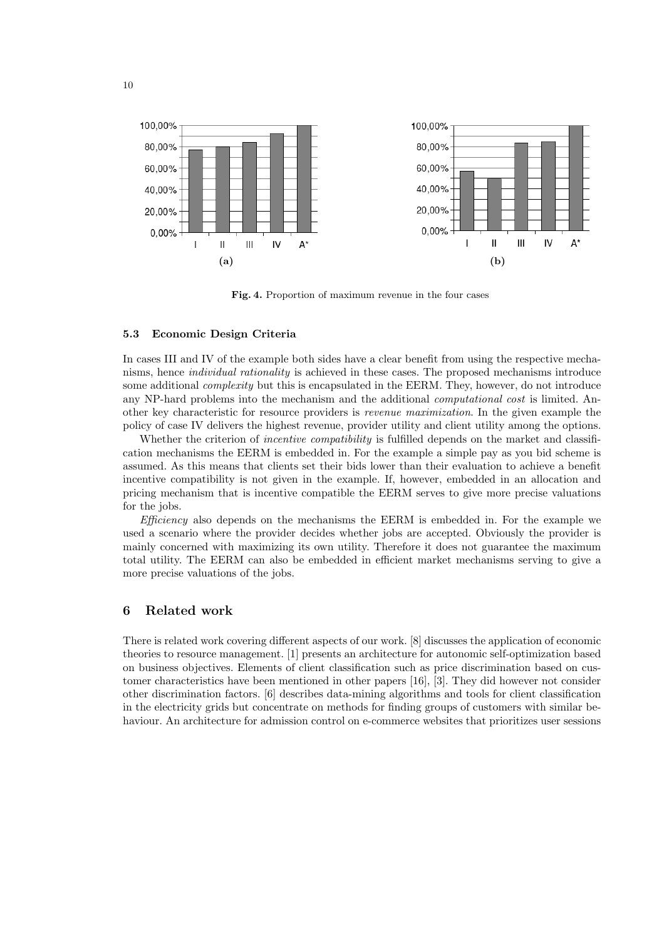

Fig. 4. Proportion of maximum revenue in the four cases

### 5.3 Economic Design Criteria

In cases III and IV of the example both sides have a clear benefit from using the respective mechanisms, hence individual rationality is achieved in these cases. The proposed mechanisms introduce some additional complexity but this is encapsulated in the EERM. They, however, do not introduce any NP-hard problems into the mechanism and the additional *computational cost* is limited. Another key characteristic for resource providers is revenue maximization. In the given example the policy of case IV delivers the highest revenue, provider utility and client utility among the options.

Whether the criterion of *incentive compatibility* is fulfilled depends on the market and classification mechanisms the EERM is embedded in. For the example a simple pay as you bid scheme is assumed. As this means that clients set their bids lower than their evaluation to achieve a benefit incentive compatibility is not given in the example. If, however, embedded in an allocation and pricing mechanism that is incentive compatible the EERM serves to give more precise valuations for the jobs.

Efficiency also depends on the mechanisms the EERM is embedded in. For the example we used a scenario where the provider decides whether jobs are accepted. Obviously the provider is mainly concerned with maximizing its own utility. Therefore it does not guarantee the maximum total utility. The EERM can also be embedded in efficient market mechanisms serving to give a more precise valuations of the jobs.

## 6 Related work

There is related work covering different aspects of our work. [8] discusses the application of economic theories to resource management. [1] presents an architecture for autonomic self-optimization based on business objectives. Elements of client classification such as price discrimination based on customer characteristics have been mentioned in other papers [16], [3]. They did however not consider other discrimination factors. [6] describes data-mining algorithms and tools for client classification in the electricity grids but concentrate on methods for finding groups of customers with similar behaviour. An architecture for admission control on e-commerce websites that prioritizes user sessions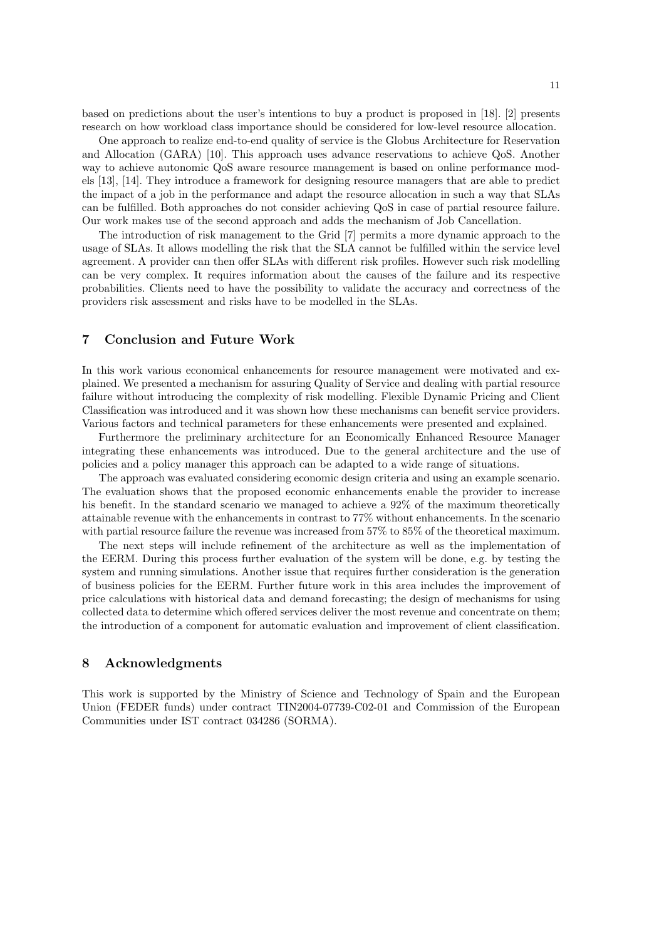based on predictions about the user's intentions to buy a product is proposed in [18]. [2] presents research on how workload class importance should be considered for low-level resource allocation.

One approach to realize end-to-end quality of service is the Globus Architecture for Reservation and Allocation (GARA) [10]. This approach uses advance reservations to achieve QoS. Another way to achieve autonomic QoS aware resource management is based on online performance models [13], [14]. They introduce a framework for designing resource managers that are able to predict the impact of a job in the performance and adapt the resource allocation in such a way that SLAs can be fulfilled. Both approaches do not consider achieving QoS in case of partial resource failure. Our work makes use of the second approach and adds the mechanism of Job Cancellation.

The introduction of risk management to the Grid [7] permits a more dynamic approach to the usage of SLAs. It allows modelling the risk that the SLA cannot be fulfilled within the service level agreement. A provider can then offer SLAs with different risk profiles. However such risk modelling can be very complex. It requires information about the causes of the failure and its respective probabilities. Clients need to have the possibility to validate the accuracy and correctness of the providers risk assessment and risks have to be modelled in the SLAs.

# 7 Conclusion and Future Work

In this work various economical enhancements for resource management were motivated and explained. We presented a mechanism for assuring Quality of Service and dealing with partial resource failure without introducing the complexity of risk modelling. Flexible Dynamic Pricing and Client Classification was introduced and it was shown how these mechanisms can benefit service providers. Various factors and technical parameters for these enhancements were presented and explained.

Furthermore the preliminary architecture for an Economically Enhanced Resource Manager integrating these enhancements was introduced. Due to the general architecture and the use of policies and a policy manager this approach can be adapted to a wide range of situations.

The approach was evaluated considering economic design criteria and using an example scenario. The evaluation shows that the proposed economic enhancements enable the provider to increase his benefit. In the standard scenario we managed to achieve a 92% of the maximum theoretically attainable revenue with the enhancements in contrast to 77% without enhancements. In the scenario with partial resource failure the revenue was increased from 57% to 85% of the theoretical maximum.

The next steps will include refinement of the architecture as well as the implementation of the EERM. During this process further evaluation of the system will be done, e.g. by testing the system and running simulations. Another issue that requires further consideration is the generation of business policies for the EERM. Further future work in this area includes the improvement of price calculations with historical data and demand forecasting; the design of mechanisms for using collected data to determine which offered services deliver the most revenue and concentrate on them; the introduction of a component for automatic evaluation and improvement of client classification.

## 8 Acknowledgments

This work is supported by the Ministry of Science and Technology of Spain and the European Union (FEDER funds) under contract TIN2004-07739-C02-01 and Commission of the European Communities under IST contract 034286 (SORMA).